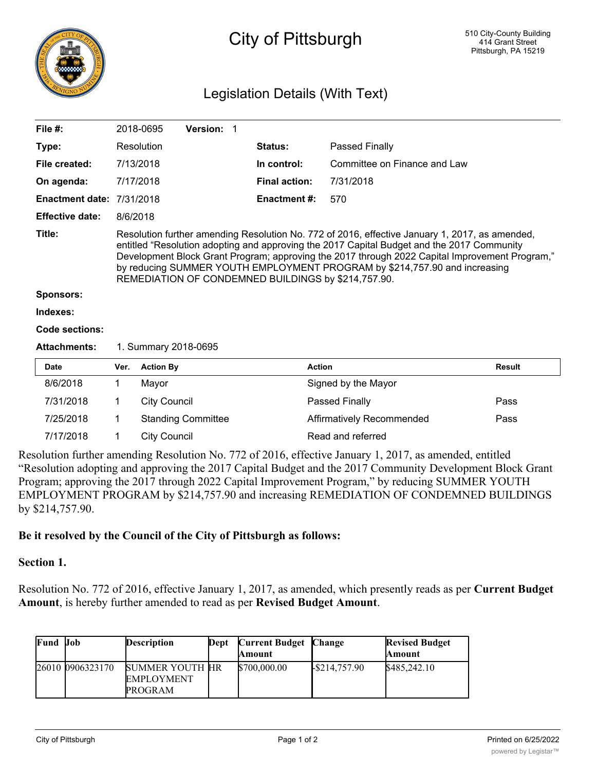

## City of Pittsburgh

## Legislation Details (With Text)

| File $#$ :                       |                                                                                                                                                                                                                                                                                                                                                                                                                                     | 2018-0695            | Version: 1                |                              |                       |                                                                                                     |               |
|----------------------------------|-------------------------------------------------------------------------------------------------------------------------------------------------------------------------------------------------------------------------------------------------------------------------------------------------------------------------------------------------------------------------------------------------------------------------------------|----------------------|---------------------------|------------------------------|-----------------------|-----------------------------------------------------------------------------------------------------|---------------|
| Type:                            | Resolution                                                                                                                                                                                                                                                                                                                                                                                                                          |                      | Status:                   | Passed Finally               |                       |                                                                                                     |               |
| File created:                    | 7/13/2018                                                                                                                                                                                                                                                                                                                                                                                                                           |                      | In control:               | Committee on Finance and Law |                       |                                                                                                     |               |
| On agenda:                       | 7/17/2018                                                                                                                                                                                                                                                                                                                                                                                                                           |                      | <b>Final action:</b>      | 7/31/2018                    |                       |                                                                                                     |               |
| <b>Enactment date: 7/31/2018</b> |                                                                                                                                                                                                                                                                                                                                                                                                                                     |                      |                           | <b>Enactment #:</b>          | 570                   |                                                                                                     |               |
| <b>Effective date:</b>           | 8/6/2018                                                                                                                                                                                                                                                                                                                                                                                                                            |                      |                           |                              |                       |                                                                                                     |               |
| Title:                           | Resolution further amending Resolution No. 772 of 2016, effective January 1, 2017, as amended,<br>entitled "Resolution adopting and approving the 2017 Capital Budget and the 2017 Community<br>Development Block Grant Program; approving the 2017 through 2022 Capital Improvement Program,"<br>by reducing SUMMER YOUTH EMPLOYMENT PROGRAM by \$214,757.90 and increasing<br>REMEDIATION OF CONDEMNED BUILDINGS by \$214,757.90. |                      |                           |                              |                       |                                                                                                     |               |
| <b>Sponsors:</b>                 |                                                                                                                                                                                                                                                                                                                                                                                                                                     |                      |                           |                              |                       |                                                                                                     |               |
| Indexes:                         |                                                                                                                                                                                                                                                                                                                                                                                                                                     |                      |                           |                              |                       |                                                                                                     |               |
| Code sections:                   |                                                                                                                                                                                                                                                                                                                                                                                                                                     |                      |                           |                              |                       |                                                                                                     |               |
| <b>Attachments:</b>              |                                                                                                                                                                                                                                                                                                                                                                                                                                     | 1. Summary 2018-0695 |                           |                              |                       |                                                                                                     |               |
| <b>Date</b>                      | Ver.                                                                                                                                                                                                                                                                                                                                                                                                                                | <b>Action By</b>     |                           |                              | <b>Action</b>         |                                                                                                     | <b>Result</b> |
| 8/6/2018                         | 1                                                                                                                                                                                                                                                                                                                                                                                                                                   | Mayor                |                           |                              |                       | Signed by the Mayor                                                                                 |               |
| 7/31/2018                        | 1                                                                                                                                                                                                                                                                                                                                                                                                                                   | <b>City Council</b>  |                           |                              | <b>Passed Finally</b> | Pass                                                                                                |               |
| 7/25/2018                        | 1                                                                                                                                                                                                                                                                                                                                                                                                                                   |                      | <b>Standing Committee</b> |                              |                       | Affirmatively Recommended                                                                           | Pass          |
| 7/17/2018                        | 1                                                                                                                                                                                                                                                                                                                                                                                                                                   | <b>City Council</b>  |                           |                              |                       | Read and referred                                                                                   |               |
|                                  |                                                                                                                                                                                                                                                                                                                                                                                                                                     |                      |                           |                              |                       | o brian fruit organizative Develotion No. 779 of 9016, effective January 1, 2017, expanded antitled |               |

Resolution further amending Resolution No. 772 of 2016, effective January 1, 2017, as amended, entitled "Resolution adopting and approving the 2017 Capital Budget and the 2017 Community Development Block Grant Program; approving the 2017 through 2022 Capital Improvement Program," by reducing SUMMER YOUTH EMPLOYMENT PROGRAM by \$214,757.90 and increasing REMEDIATION OF CONDEMNED BUILDINGS by \$214,757.90.

## **Be it resolved by the Council of the City of Pittsburgh as follows:**

BUILDINGS

## **Section 1.**

Resolution No. 772 of 2016, effective January 1, 2017, as amended, which presently reads as per **Current Budget Amount**, is hereby further amended to read as per **Revised Budget Amount**.

| <b>Fund Job</b> |                  | <b>Description</b>                                            | Dept | <b>Current Budget Change</b><br>Amount |                                             | <b>Revised Budget</b><br>Amount |
|-----------------|------------------|---------------------------------------------------------------|------|----------------------------------------|---------------------------------------------|---------------------------------|
|                 | 26010 0906323170 | <b>SUMMER YOUTH HR</b><br><b>EMPLOYMENT</b><br><b>PROGRAM</b> |      | \$700,000.00                           | $\textcolor{blue}{\downarrow}$ \$214,757.90 | \$485,242.10                    |